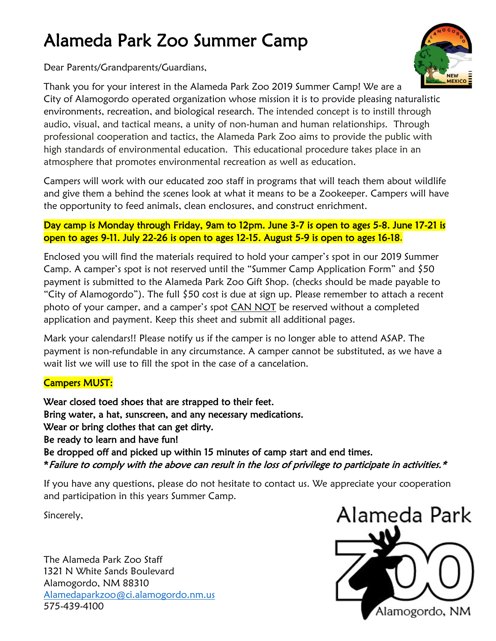# Alameda Park Zoo Summer Camp

Dear Parents/Grandparents/Guardians,



Thank you for your interest in the Alameda Park Zoo 2019 Summer Camp! We are a City of Alamogordo operated organization whose mission it is to provide pleasing naturalistic environments, recreation, and biological research. The intended concept is to instill through audio, visual, and tactical means, a unity of non-human and human relationships. Through professional cooperation and tactics, the Alameda Park Zoo aims to provide the public with high standards of environmental education. This educational procedure takes place in an atmosphere that promotes environmental recreation as well as education.

Campers will work with our educated zoo staff in programs that will teach them about wildlife and give them a behind the scenes look at what it means to be a Zookeeper. Campers will have the opportunity to feed animals, clean enclosures, and construct enrichment.

#### Day camp is Monday through Friday, 9am to 12pm. June 3-7 is open to ages 5-8. June 17-21 is open to ages 9-11. July 22-26 is open to ages 12-15. August 5-9 is open to ages 16-18.

Enclosed you will find the materials required to hold your camper's spot in our 2019 Summer Camp. A camper's spot is not reserved until the "Summer Camp Application Form" and \$50 payment is submitted to the Alameda Park Zoo Gift Shop. (checks should be made payable to "City of Alamogordo"). The full \$50 cost is due at sign up. Please remember to attach a recent photo of your camper, and a camper's spot CAN NOT be reserved without a completed application and payment. Keep this sheet and submit all additional pages.

Mark your calendars!! Please notify us if the camper is no longer able to attend ASAP. The payment is non-refundable in any circumstance. A camper cannot be substituted, as we have a wait list we will use to fill the spot in the case of a cancelation.

#### Campers MUST:

Wear closed toed shoes that are strapped to their feet. Bring water, a hat, sunscreen, and any necessary medications. Wear or bring clothes that can get dirty. Be ready to learn and have fun! Be dropped off and picked up within 15 minutes of camp start and end times. \*Failure to comply with the above can result in the loss of privilege to participate in activities.\*

If you have any questions, please do not hesitate to contact us. We appreciate your cooperation and participation in this years Summer Camp.

Sincerely,

The Alameda Park Zoo Staff 1321 N White Sands Boulevard Alamogordo, NM 88310 [Alamedaparkzoo@ci.alamogordo.nm.us](mailto:Alamedaparkzoo@ci.alamogordo.nm.us) 575-439-4100

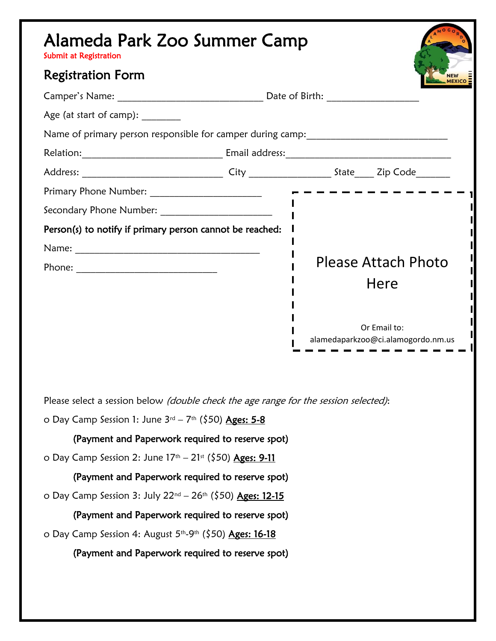| Alameda Park Zoo Summer Camp<br><b>Submit at Registration</b>                        |  |                                    |
|--------------------------------------------------------------------------------------|--|------------------------------------|
| <b>Registration Form</b>                                                             |  |                                    |
|                                                                                      |  |                                    |
| Age (at start of camp): <u>Netall</u>                                                |  |                                    |
|                                                                                      |  |                                    |
|                                                                                      |  |                                    |
|                                                                                      |  |                                    |
|                                                                                      |  |                                    |
| Secondary Phone Number: _________________________                                    |  |                                    |
| Person(s) to notify if primary person cannot be reached:                             |  |                                    |
|                                                                                      |  |                                    |
|                                                                                      |  | Please Attach Photo                |
|                                                                                      |  | Here                               |
|                                                                                      |  |                                    |
|                                                                                      |  | Or Email to:                       |
|                                                                                      |  | alamedaparkzoo@ci.alamogordo.nm.us |
|                                                                                      |  |                                    |
|                                                                                      |  |                                    |
| Please select a session below (double check the age range for the session selected): |  |                                    |
| o Day Camp Session 1: June $3^{rd}$ – $7^{th}$ (\$50) Ages: 5-8                      |  |                                    |
| (Payment and Paperwork required to reserve spot)                                     |  |                                    |
| o Day Camp Session 2: June 17th - 21st (\$50) Ages: 9-11                             |  |                                    |
| (Payment and Paperwork required to reserve spot)                                     |  |                                    |
| o Day Camp Session 3: July 22 <sup>nd</sup> – 26 <sup>th</sup> (\$50) Ages: 12-15    |  |                                    |
| (Payment and Paperwork required to reserve spot)                                     |  |                                    |
| o Day Camp Session 4: August 5th-9th (\$50) Ages: 16-18                              |  |                                    |
|                                                                                      |  |                                    |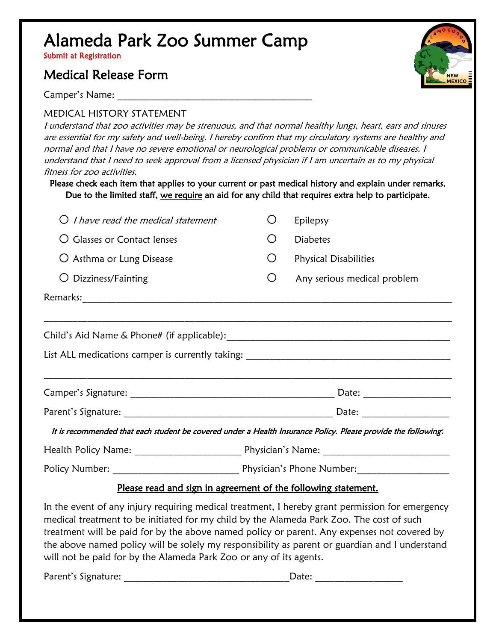## Alameda Park Zoo Summer Camp

Submit at Registration

### Medical Release Form

Camper's Name:

#### MEDICAL HISTORY STATEMENT

I understand that zoo activities may be strenuous, and that normal healthy lungs, heart, ears and sinuses are essential for my safety and well-being. I hereby confirm that my circulatory systems are healthy and normal and that I have no severe emotional or neurological problems or communicable diseases. I understand that I need to seek approval from a licensed physician if I am uncertain as to my physical fitness for zoo activities.

Please check each item that applies to your current or past medical history and explain under remarks. Due to the limited staff, we require an aid for any child that requires extra help to participate.

| <i>I have read the medical statement</i>                                                                                                                                                                                                                                                  |                                               | Epilepsy                     |  |
|-------------------------------------------------------------------------------------------------------------------------------------------------------------------------------------------------------------------------------------------------------------------------------------------|-----------------------------------------------|------------------------------|--|
| $\bigcirc$ Glasses or Contact lenses                                                                                                                                                                                                                                                      | O                                             | <b>Diabetes</b>              |  |
| $\bigcirc$ Asthma or Lung Disease                                                                                                                                                                                                                                                         | $\left( \right)$                              | <b>Physical Disabilities</b> |  |
| $\bigcirc$ Dizziness/Fainting                                                                                                                                                                                                                                                             | $\left(\begin{array}{c} 1 \end{array}\right)$ | Any serious medical problem  |  |
|                                                                                                                                                                                                                                                                                           |                                               |                              |  |
|                                                                                                                                                                                                                                                                                           |                                               |                              |  |
|                                                                                                                                                                                                                                                                                           |                                               |                              |  |
|                                                                                                                                                                                                                                                                                           |                                               | Date: _____________________  |  |
|                                                                                                                                                                                                                                                                                           |                                               | Date: ___________________    |  |
| It is recommended that each student be covered under a Health Insurance Policy. Please provide the following:                                                                                                                                                                             |                                               |                              |  |
|                                                                                                                                                                                                                                                                                           |                                               |                              |  |
|                                                                                                                                                                                                                                                                                           |                                               |                              |  |
| $\mathbb{R}^n$ is the state of $\mathbb{R}^n$ if $\mathbb{R}^n$ if $\mathbb{R}^n$ if $\mathbb{R}^n$ if $\mathbb{R}^n$ if $\mathbb{R}^n$ if $\mathbb{R}^n$ if $\mathbb{R}^n$ if $\mathbb{R}^n$ if $\mathbb{R}^n$ if $\mathbb{R}^n$ if $\mathbb{R}^n$ if $\mathbb{R}^n$ if $\mathbb{R}^n$ i |                                               |                              |  |

#### Please read and sign in agreement of the following statement.

In the event of any injury requiring medical treatment, I hereby grant permission for emergency medical treatment to be initiated for my child by the Alameda Park Zoo. The cost of such treatment will be paid for by the above named policy or parent. Any expenses not covered by the above named policy will be solely my responsibility as parent or guardian and I understand will not be paid for by the Alameda Park Zoo or any of its agents.

Parent's Signature: \_\_\_\_\_\_\_\_\_\_\_\_\_\_\_\_\_\_\_\_\_\_\_\_\_\_\_\_\_\_\_\_\_\_Date: \_\_\_\_\_\_\_\_\_\_\_\_\_\_\_\_\_\_

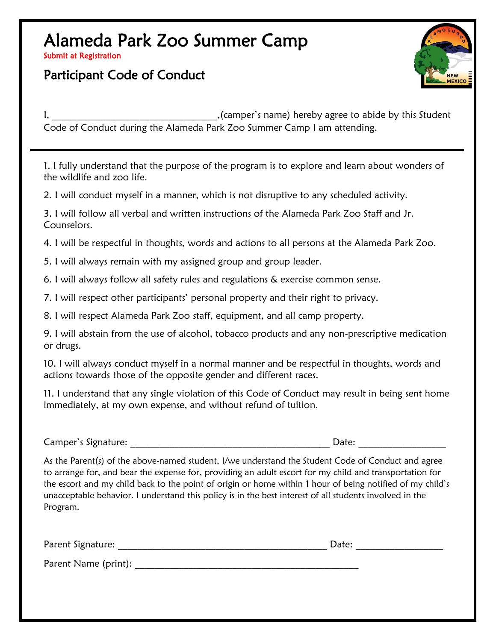## Alameda Park Zoo Summer Camp

Submit at Registration

### Participant Code of Conduct



I, **I** and the samper's name) hereby agree to abide by this Student Code of Conduct during the Alameda Park Zoo Summer Camp I am attending.

1. I fully understand that the purpose of the program is to explore and learn about wonders of the wildlife and zoo life.

2. I will conduct myself in a manner, which is not disruptive to any scheduled activity.

3. I will follow all verbal and written instructions of the Alameda Park Zoo Staff and Jr. Counselors.

4. I will be respectful in thoughts, words and actions to all persons at the Alameda Park Zoo.

5. I will always remain with my assigned group and group leader.

6. I will always follow all safety rules and regulations & exercise common sense.

7. I will respect other participants' personal property and their right to privacy.

8. I will respect Alameda Park Zoo staff, equipment, and all camp property.

9. I will abstain from the use of alcohol, tobacco products and any non-prescriptive medication or drugs.

10. I will always conduct myself in a normal manner and be respectful in thoughts, words and actions towards those of the opposite gender and different races.

11. I understand that any single violation of this Code of Conduct may result in being sent home immediately, at my own expense, and without refund of tuition.

| $\overline{\phantom{0}}$<br>.<br>יםו<br>Car. |  |
|----------------------------------------------|--|
|                                              |  |

As the Parent(s) of the above-named student, I/we understand the Student Code of Conduct and agree to arrange for, and bear the expense for, providing an adult escort for my child and transportation for the escort and my child back to the point of origin or home within 1 hour of being notified of my child's unacceptable behavior. I understand this policy is in the best interest of all students involved in the Program.

Parent Signature: \_\_\_\_\_\_\_\_\_\_\_\_\_\_\_\_\_\_\_\_\_\_\_\_\_\_\_\_\_\_\_\_\_\_\_\_\_\_\_\_\_\_\_ Date: \_\_\_\_\_\_\_\_\_\_\_\_\_\_\_\_\_\_

Parent Name (print): **Example 20**